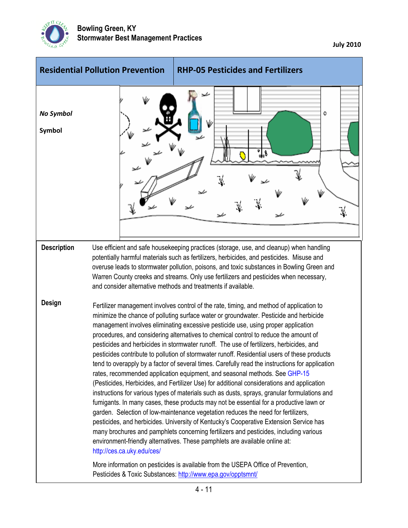

**July 2010**

| <b>Residential Pollution Prevention</b> |                                                               | <b>RHP-05 Pesticides and Fertilizers</b>                                                                                                                                                                                                                                                                                                                                                                                                                                                                                                                                                                                                                                                                                                                                                                                                                                                                                                                                                                                                                                                                                                                                                                                                                                                                                                                                                                                                                                                                                                      |
|-----------------------------------------|---------------------------------------------------------------|-----------------------------------------------------------------------------------------------------------------------------------------------------------------------------------------------------------------------------------------------------------------------------------------------------------------------------------------------------------------------------------------------------------------------------------------------------------------------------------------------------------------------------------------------------------------------------------------------------------------------------------------------------------------------------------------------------------------------------------------------------------------------------------------------------------------------------------------------------------------------------------------------------------------------------------------------------------------------------------------------------------------------------------------------------------------------------------------------------------------------------------------------------------------------------------------------------------------------------------------------------------------------------------------------------------------------------------------------------------------------------------------------------------------------------------------------------------------------------------------------------------------------------------------------|
| <b>No Symbol</b><br>Symbol              |                                                               | ٥<br><u>ू</u> १<br>¥.<br>ىر                                                                                                                                                                                                                                                                                                                                                                                                                                                                                                                                                                                                                                                                                                                                                                                                                                                                                                                                                                                                                                                                                                                                                                                                                                                                                                                                                                                                                                                                                                                   |
| <b>Description</b>                      | and consider alternative methods and treatments if available. | Use efficient and safe housekeeping practices (storage, use, and cleanup) when handling<br>potentially harmful materials such as fertilizers, herbicides, and pesticides. Misuse and<br>overuse leads to stormwater pollution, poisons, and toxic substances in Bowling Green and<br>Warren County creeks and streams. Only use fertilizers and pesticides when necessary,                                                                                                                                                                                                                                                                                                                                                                                                                                                                                                                                                                                                                                                                                                                                                                                                                                                                                                                                                                                                                                                                                                                                                                    |
| <b>Design</b>                           | http://ces.ca.uky.edu/ces/                                    | Fertilizer management involves control of the rate, timing, and method of application to<br>minimize the chance of polluting surface water or groundwater. Pesticide and herbicide<br>management involves eliminating excessive pesticide use, using proper application<br>procedures, and considering alternatives to chemical control to reduce the amount of<br>pesticides and herbicides in stormwater runoff. The use of fertilizers, herbicides, and<br>pesticides contribute to pollution of stormwater runoff. Residential users of these products<br>tend to overapply by a factor of several times. Carefully read the instructions for application<br>rates, recommended application equipment, and seasonal methods. See GHP-15<br>(Pesticides, Herbicides, and Fertilizer Use) for additional considerations and application<br>instructions for various types of materials such as dusts, sprays, granular formulations and<br>fumigants. In many cases, these products may not be essential for a productive lawn or<br>garden. Selection of low-maintenance vegetation reduces the need for fertilizers,<br>pesticides, and herbicides. University of Kentucky's Cooperative Extension Service has<br>many brochures and pamphlets concerning fertilizers and pesticides, including various<br>environment-friendly alternatives. These pamphlets are available online at:<br>More information on pesticides is available from the USEPA Office of Prevention,<br>Pesticides & Toxic Substances: http://www.epa.gov/opptsmnt/ |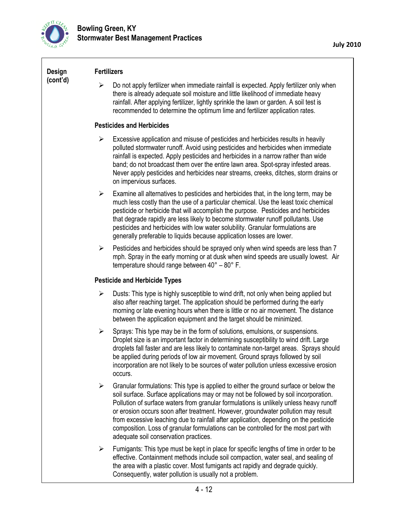

| Design<br>(cont'd) | <b>Fertilizers</b>                                                                                                                                                                                                                                                                                                                                                                                                                                                                                                                                                                                             |  |  |
|--------------------|----------------------------------------------------------------------------------------------------------------------------------------------------------------------------------------------------------------------------------------------------------------------------------------------------------------------------------------------------------------------------------------------------------------------------------------------------------------------------------------------------------------------------------------------------------------------------------------------------------------|--|--|
|                    | Do not apply fertilizer when immediate rainfall is expected. Apply fertilizer only when<br>➤<br>there is already adequate soil moisture and little likelihood of immediate heavy<br>rainfall. After applying fertilizer, lightly sprinkle the lawn or garden. A soil test is<br>recommended to determine the optimum lime and fertilizer application rates.                                                                                                                                                                                                                                                    |  |  |
|                    | <b>Pesticides and Herbicides</b>                                                                                                                                                                                                                                                                                                                                                                                                                                                                                                                                                                               |  |  |
|                    | Excessive application and misuse of pesticides and herbicides results in heavily<br>➤<br>polluted stormwater runoff. Avoid using pesticides and herbicides when immediate<br>rainfall is expected. Apply pesticides and herbicides in a narrow rather than wide<br>band; do not broadcast them over the entire lawn area. Spot-spray infested areas.<br>Never apply pesticides and herbicides near streams, creeks, ditches, storm drains or<br>on impervious surfaces.                                                                                                                                        |  |  |
|                    | Examine all alternatives to pesticides and herbicides that, in the long term, may be<br>$\blacktriangleright$<br>much less costly than the use of a particular chemical. Use the least toxic chemical<br>pesticide or herbicide that will accomplish the purpose. Pesticides and herbicides<br>that degrade rapidly are less likely to become stormwater runoff pollutants. Use<br>pesticides and herbicides with low water solubility. Granular formulations are<br>generally preferable to liquids because application losses are lower.                                                                     |  |  |
|                    | Pesticides and herbicides should be sprayed only when wind speeds are less than 7<br>➤<br>mph. Spray in the early morning or at dusk when wind speeds are usually lowest. Air<br>temperature should range between $40^{\circ} - 80^{\circ}$ F.                                                                                                                                                                                                                                                                                                                                                                 |  |  |
|                    | <b>Pesticide and Herbicide Types</b>                                                                                                                                                                                                                                                                                                                                                                                                                                                                                                                                                                           |  |  |
|                    | $\blacktriangleright$<br>Dusts: This type is highly susceptible to wind drift, not only when being applied but<br>also after reaching target. The application should be performed during the early<br>morning or late evening hours when there is little or no air movement. The distance<br>between the application equipment and the target should be minimized.                                                                                                                                                                                                                                             |  |  |
|                    | Sprays: This type may be in the form of solutions, emulsions, or suspensions.<br>➤<br>Droplet size is an important factor in determining susceptibility to wind drift. Large<br>droplets fall faster and are less likely to contaminate non-target areas. Sprays should<br>be applied during periods of low air movement. Ground sprays followed by soil<br>incorporation are not likely to be sources of water pollution unless excessive erosion<br>occurs.                                                                                                                                                  |  |  |
|                    | $\blacktriangleright$<br>Granular formulations: This type is applied to either the ground surface or below the<br>soil surface. Surface applications may or may not be followed by soil incorporation.<br>Pollution of surface waters from granular formulations is unlikely unless heavy runoff<br>or erosion occurs soon after treatment. However, groundwater pollution may result<br>from excessive leaching due to rainfall after application, depending on the pesticide<br>composition. Loss of granular formulations can be controlled for the most part with<br>adequate soil conservation practices. |  |  |
|                    | Fumigants: This type must be kept in place for specific lengths of time in order to be<br>$\blacktriangleright$<br>effective. Containment methods include soil compaction, water seal, and sealing of<br>the area with a plastic cover. Most fumigants act rapidly and degrade quickly.<br>Consequently, water pollution is usually not a problem.                                                                                                                                                                                                                                                             |  |  |